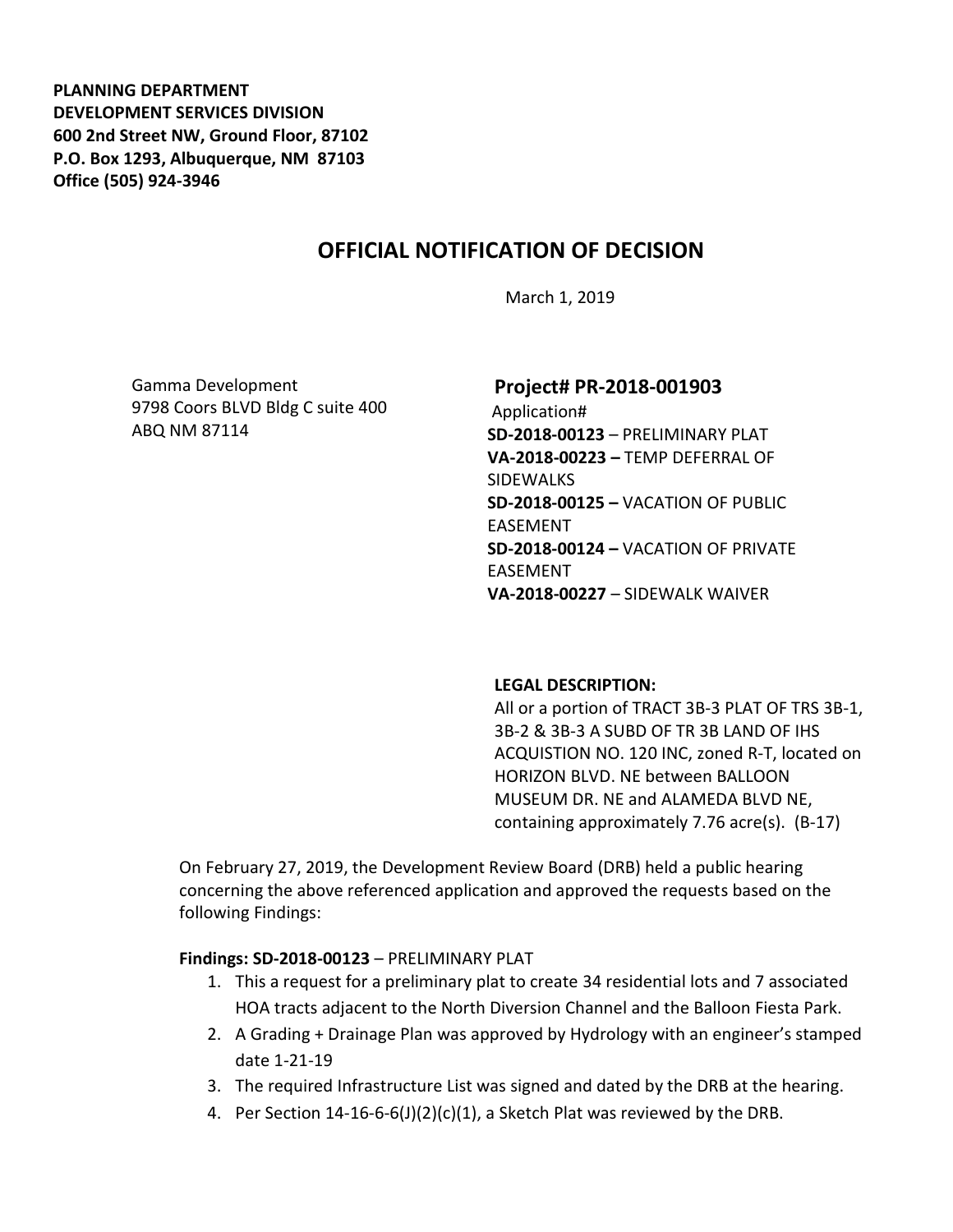**PLANNING DEPARTMENT DEVELOPMENT SERVICES DIVISION 600 2nd Street NW, Ground Floor, 87102 P.O. Box 1293, Albuquerque, NM 87103 Office (505) 924-3946** 

# **OFFICIAL NOTIFICATION OF DECISION**

March 1, 2019

Gamma Development 9798 Coors BLVD Bldg C suite 400 ABQ NM 87114

### **Project# PR-2018-001903**

Application# **SD-2018-00123** – PRELIMINARY PLAT **VA-2018-00223 –** TEMP DEFERRAL OF **SIDEWALKS SD-2018-00125 –** VACATION OF PUBLIC EASEMENT **SD-2018-00124 –** VACATION OF PRIVATE EASEMENT **VA-2018-00227** – SIDEWALK WAIVER

#### **LEGAL DESCRIPTION:**

All or a portion of TRACT 3B-3 PLAT OF TRS 3B-1, 3B-2 & 3B-3 A SUBD OF TR 3B LAND OF IHS ACQUISTION NO. 120 INC, zoned R-T, located on HORIZON BLVD. NE between BALLOON MUSEUM DR. NE and ALAMEDA BLVD NE, containing approximately 7.76 acre(s). (B-17)

On February 27, 2019, the Development Review Board (DRB) held a public hearing concerning the above referenced application and approved the requests based on the following Findings:

**Findings: SD-2018-00123** – PRELIMINARY PLAT

- 1. This a request for a preliminary plat to create 34 residential lots and 7 associated HOA tracts adjacent to the North Diversion Channel and the Balloon Fiesta Park.
- 2. A Grading + Drainage Plan was approved by Hydrology with an engineer's stamped date 1-21-19
- 3. The required Infrastructure List was signed and dated by the DRB at the hearing.
- 4. Per Section 14-16-6-6(J)(2)(c)(1), a Sketch Plat was reviewed by the DRB.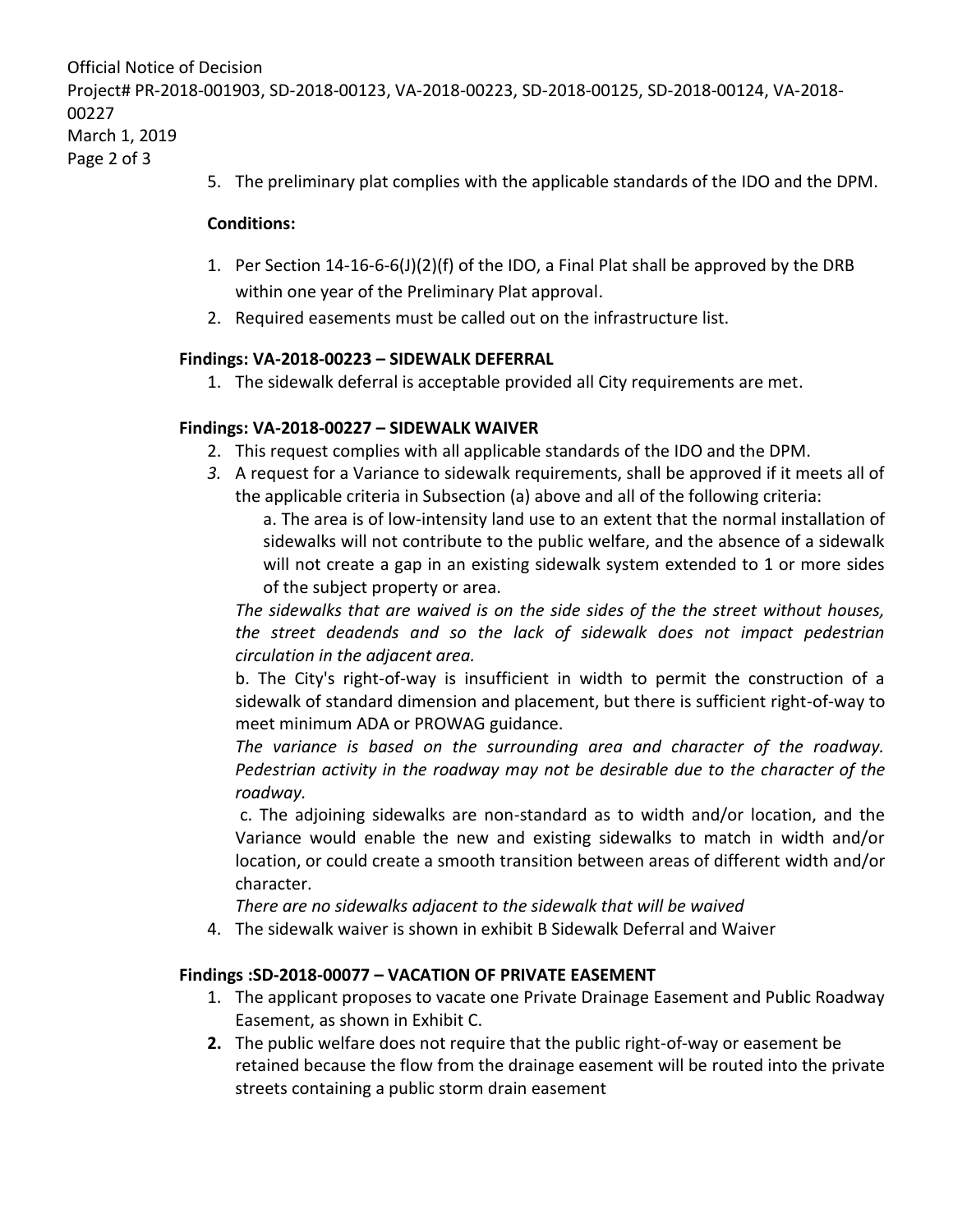```
Official Notice of Decision
Project# PR-2018-001903, SD-2018-00123, VA-2018-00223, SD-2018-00125, SD-2018-00124, VA-2018-
00227
March 1, 2019
Page 2 of 3
```
5. The preliminary plat complies with the applicable standards of the IDO and the DPM.

#### **Conditions:**

- 1. Per Section 14-16-6-6(J)(2)(f) of the IDO, a Final Plat shall be approved by the DRB within one year of the Preliminary Plat approval.
- 2. Required easements must be called out on the infrastructure list.

### **Findings: VA-2018-00223 – SIDEWALK DEFERRAL**

1. The sidewalk deferral is acceptable provided all City requirements are met.

### **Findings: VA-2018-00227 – SIDEWALK WAIVER**

- 2. This request complies with all applicable standards of the IDO and the DPM.
- *3.* A request for a Variance to sidewalk requirements, shall be approved if it meets all of the applicable criteria in Subsection (a) above and all of the following criteria:

a. The area is of low-intensity land use to an extent that the normal installation of sidewalks will not contribute to the public welfare, and the absence of a sidewalk will not create a gap in an existing sidewalk system extended to 1 or more sides of the subject property or area.

*The sidewalks that are waived is on the side sides of the the street without houses, the street deadends and so the lack of sidewalk does not impact pedestrian circulation in the adjacent area.*

b. The City's right-of-way is insufficient in width to permit the construction of a sidewalk of standard dimension and placement, but there is sufficient right-of-way to meet minimum ADA or PROWAG guidance.

*The variance is based on the surrounding area and character of the roadway. Pedestrian activity in the roadway may not be desirable due to the character of the roadway.* 

c. The adjoining sidewalks are non-standard as to width and/or location, and the Variance would enable the new and existing sidewalks to match in width and/or location, or could create a smooth transition between areas of different width and/or character.

*There are no sidewalks adjacent to the sidewalk that will be waived*

4. The sidewalk waiver is shown in exhibit B Sidewalk Deferral and Waiver

### **Findings :SD-2018-00077 – VACATION OF PRIVATE EASEMENT**

- 1. The applicant proposes to vacate one Private Drainage Easement and Public Roadway Easement, as shown in Exhibit C.
- **2.** The public welfare does not require that the public right-of-way or easement be retained because the flow from the drainage easement will be routed into the private streets containing a public storm drain easement